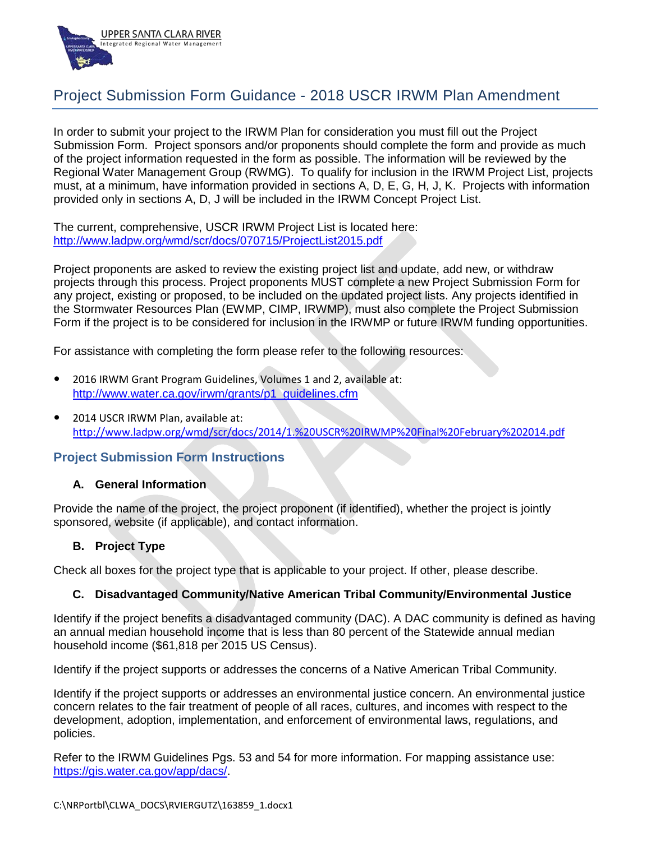

# Project Submission Form Guidance - 2018 USCR IRWM Plan Amendment

In order to submit your project to the IRWM Plan for consideration you must fill out the Project Submission Form. Project sponsors and/or proponents should complete the form and provide as much of the project information requested in the form as possible. The information will be reviewed by the Regional Water Management Group (RWMG). To qualify for inclusion in the IRWM Project List, projects must, at a minimum, have information provided in sections A, D, E, G, H, J, K. Projects with information provided only in sections A, D, J will be included in the IRWM Concept Project List.

The current, comprehensive, USCR IRWM Project List is located here: <http://www.ladpw.org/wmd/scr/docs/070715/ProjectList2015.pdf>

Project proponents are asked to review the existing project list and update, add new, or withdraw projects through this process. Project proponents MUST complete a new Project Submission Form for any project, existing or proposed, to be included on the updated project lists. Any projects identified in the Stormwater Resources Plan (EWMP, CIMP, IRWMP), must also complete the Project Submission Form if the project is to be considered for inclusion in the IRWMP or future IRWM funding opportunities.

For assistance with completing the form please refer to the following resources:

- 2016 IRWM Grant Program Guidelines, Volumes 1 and 2, available at: [http://www.water.ca.gov/irwm/grants/p1\\_guidelines.cfm](http://www.water.ca.gov/irwm/grants/p1_guidelines.cfm)
- 2014 USCR IRWM Plan, available at: <http://www.ladpw.org/wmd/scr/docs/2014/1.%20USCR%20IRWMP%20Final%20February%202014.pdf>

## **Project Submission Form Instructions**

## **A. General Information**

Provide the name of the project, the project proponent (if identified), whether the project is jointly sponsored, website (if applicable), and contact information.

## **B. Project Type**

Check all boxes for the project type that is applicable to your project. If other, please describe.

## **C. Disadvantaged Community/Native American Tribal Community/Environmental Justice**

Identify if the project benefits a disadvantaged community (DAC). A DAC community is defined as having an annual median household income that is less than 80 percent of the Statewide annual median household income (\$61,818 per 2015 US Census).

Identify if the project supports or addresses the concerns of a Native American Tribal Community.

Identify if the project supports or addresses an environmental justice concern. An environmental justice concern relates to the fair treatment of people of all races, cultures, and incomes with respect to the development, adoption, implementation, and enforcement of environmental laws, regulations, and policies.

Refer to the IRWM Guidelines Pgs. 53 and 54 for more information. For mapping assistance use: [https://gis.water.ca.gov/app/dacs/.](https://gis.water.ca.gov/app/dacs/)